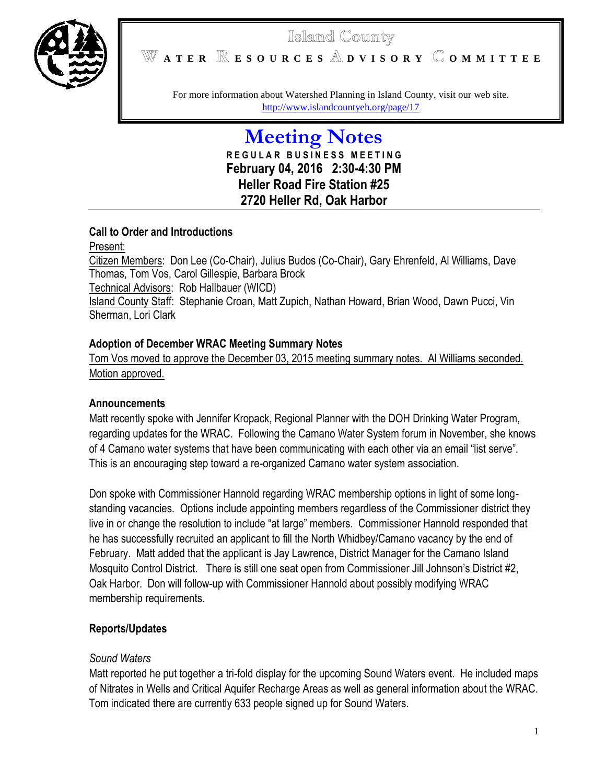

# Islaind County **A T E R E S O U R C E S D V I S O R Y O M M I T T E E**

For more information about Watershed Planning in Island County, visit our web site. <http://www.islandcountyeh.org/page/17>

> **Meeting Notes R E G U L A R B U S I N E S S M E E T I N G February 04, 2016 2:30-4:30 PM Heller Road Fire Station #25 2720 Heller Rd, Oak Harbor**

# **Call to Order and Introductions**

Present: Citizen Members: Don Lee (Co-Chair), Julius Budos (Co-Chair), Gary Ehrenfeld, Al Williams, Dave Thomas, Tom Vos, Carol Gillespie, Barbara Brock Technical Advisors: Rob Hallbauer (WICD) Island County Staff: Stephanie Croan, Matt Zupich, Nathan Howard, Brian Wood, Dawn Pucci, Vin Sherman, Lori Clark

# **Adoption of December WRAC Meeting Summary Notes**

Tom Vos moved to approve the December 03, 2015 meeting summary notes. Al Williams seconded. Motion approved.

# **Announcements**

Matt recently spoke with Jennifer Kropack, Regional Planner with the DOH Drinking Water Program, regarding updates for the WRAC. Following the Camano Water System forum in November, she knows of 4 Camano water systems that have been communicating with each other via an email "list serve". This is an encouraging step toward a re-organized Camano water system association.

Don spoke with Commissioner Hannold regarding WRAC membership options in light of some longstanding vacancies. Options include appointing members regardless of the Commissioner district they live in or change the resolution to include "at large" members. Commissioner Hannold responded that he has successfully recruited an applicant to fill the North Whidbey/Camano vacancy by the end of February. Matt added that the applicant is Jay Lawrence, District Manager for the Camano Island Mosquito Control District. There is still one seat open from Commissioner Jill Johnson's District #2, Oak Harbor. Don will follow-up with Commissioner Hannold about possibly modifying WRAC membership requirements.

# **Reports/Updates**

# *Sound Waters*

Matt reported he put together a tri-fold display for the upcoming Sound Waters event. He included maps of Nitrates in Wells and Critical Aquifer Recharge Areas as well as general information about the WRAC. Tom indicated there are currently 633 people signed up for Sound Waters.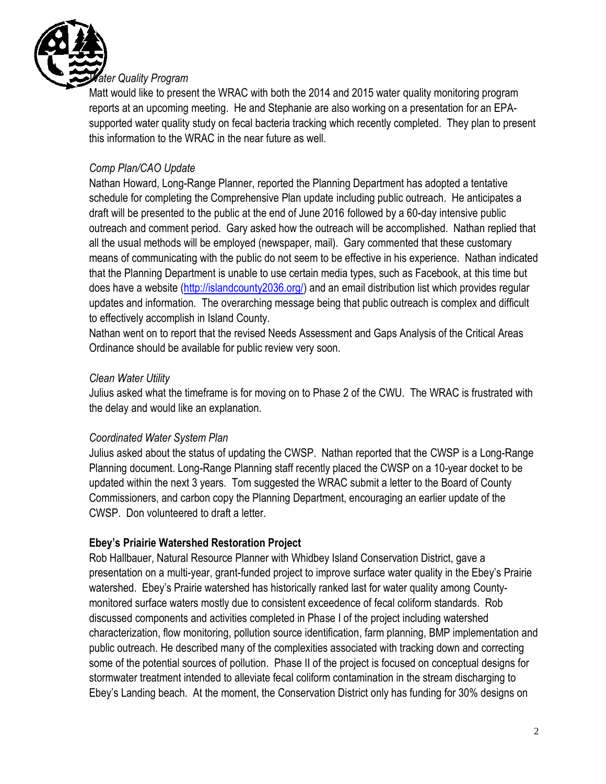

Matt would like to present the WRAC with both the 2014 and 2015 water quality monitoring program reports at an upcoming meeting. He and Stephanie are also working on a presentation for an EPAsupported water quality study on fecal bacteria tracking which recently completed. They plan to present this information to the WRAC in the near future as well.

# *Comp Plan/CAO Update*

Nathan Howard, Long-Range Planner, reported the Planning Department has adopted a tentative schedule for completing the Comprehensive Plan update including public outreach. He anticipates a draft will be presented to the public at the end of June 2016 followed by a 60-day intensive public outreach and comment period. Gary asked how the outreach will be accomplished. Nathan replied that all the usual methods will be employed (newspaper, mail). Gary commented that these customary means of communicating with the public do not seem to be effective in his experience. Nathan indicated that the Planning Department is unable to use certain media types, such as Facebook, at this time but does have a website [\(http://islandcounty2036.org/\)](http://islandcounty2036.org/) and an email distribution list which provides regular updates and information. The overarching message being that public outreach is complex and difficult to effectively accomplish in Island County.

Nathan went on to report that the revised Needs Assessment and Gaps Analysis of the Critical Areas Ordinance should be available for public review very soon.

#### *Clean Water Utility*

Julius asked what the timeframe is for moving on to Phase 2 of the CWU. The WRAC is frustrated with the delay and would like an explanation.

# *Coordinated Water System Plan*

Julius asked about the status of updating the CWSP. Nathan reported that the CWSP is a Long-Range Planning document. Long-Range Planning staff recently placed the CWSP on a 10-year docket to be updated within the next 3 years. Tom suggested the WRAC submit a letter to the Board of County Commissioners, and carbon copy the Planning Department, encouraging an earlier update of the CWSP. Don volunteered to draft a letter.

# **Ebey's Priairie Watershed Restoration Project**

Rob Hallbauer, Natural Resource Planner with Whidbey Island Conservation District, gave a presentation on a multi-year, grant-funded project to improve surface water quality in the Ebey's Prairie watershed. Ebey's Prairie watershed has historically ranked last for water quality among Countymonitored surface waters mostly due to consistent exceedence of fecal coliform standards. Rob discussed components and activities completed in Phase I of the project including watershed characterization, flow monitoring, pollution source identification, farm planning, BMP implementation and public outreach. He described many of the complexities associated with tracking down and correcting some of the potential sources of pollution. Phase II of the project is focused on conceptual designs for stormwater treatment intended to alleviate fecal coliform contamination in the stream discharging to Ebey's Landing beach. At the moment, the Conservation District only has funding for 30% designs on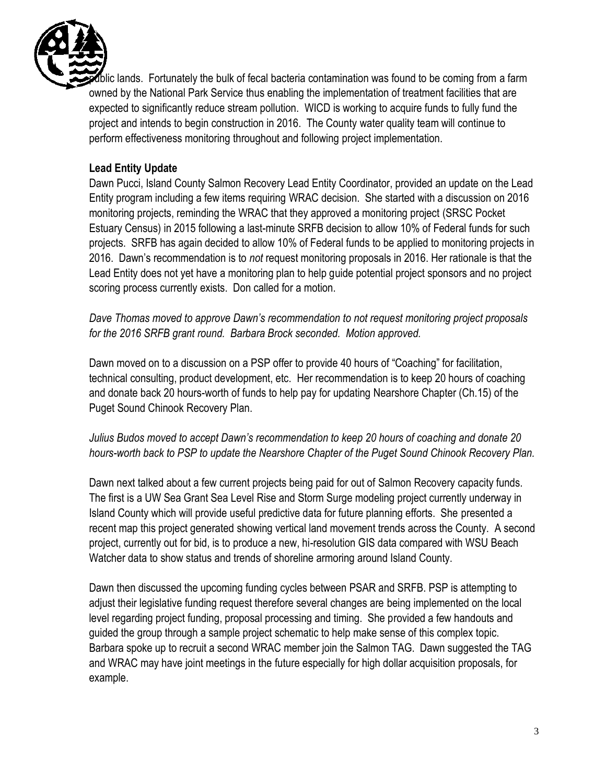

lic lands. Fortunately the bulk of fecal bacteria contamination was found to be coming from a farm owned by the National Park Service thus enabling the implementation of treatment facilities that are expected to significantly reduce stream pollution. WICD is working to acquire funds to fully fund the project and intends to begin construction in 2016. The County water quality team will continue to perform effectiveness monitoring throughout and following project implementation.

# **Lead Entity Update**

Dawn Pucci, Island County Salmon Recovery Lead Entity Coordinator, provided an update on the Lead Entity program including a few items requiring WRAC decision. She started with a discussion on 2016 monitoring projects, reminding the WRAC that they approved a monitoring project (SRSC Pocket Estuary Census) in 2015 following a last-minute SRFB decision to allow 10% of Federal funds for such projects. SRFB has again decided to allow 10% of Federal funds to be applied to monitoring projects in 2016. Dawn's recommendation is to *not* request monitoring proposals in 2016. Her rationale is that the Lead Entity does not yet have a monitoring plan to help guide potential project sponsors and no project scoring process currently exists. Don called for a motion.

*Dave Thomas moved to approve Dawn's recommendation to not request monitoring project proposals for the 2016 SRFB grant round. Barbara Brock seconded. Motion approved.*

Dawn moved on to a discussion on a PSP offer to provide 40 hours of "Coaching" for facilitation, technical consulting, product development, etc. Her recommendation is to keep 20 hours of coaching and donate back 20 hours-worth of funds to help pay for updating Nearshore Chapter (Ch.15) of the Puget Sound Chinook Recovery Plan.

# *Julius Budos moved to accept Dawn's recommendation to keep 20 hours of coaching and donate 20 hours-worth back to PSP to update the Nearshore Chapter of the Puget Sound Chinook Recovery Plan.*

Dawn next talked about a few current projects being paid for out of Salmon Recovery capacity funds. The first is a UW Sea Grant Sea Level Rise and Storm Surge modeling project currently underway in Island County which will provide useful predictive data for future planning efforts. She presented a recent map this project generated showing vertical land movement trends across the County. A second project, currently out for bid, is to produce a new, hi-resolution GIS data compared with WSU Beach Watcher data to show status and trends of shoreline armoring around Island County.

Dawn then discussed the upcoming funding cycles between PSAR and SRFB. PSP is attempting to adjust their legislative funding request therefore several changes are being implemented on the local level regarding project funding, proposal processing and timing. She provided a few handouts and guided the group through a sample project schematic to help make sense of this complex topic. Barbara spoke up to recruit a second WRAC member join the Salmon TAG. Dawn suggested the TAG and WRAC may have joint meetings in the future especially for high dollar acquisition proposals, for example.